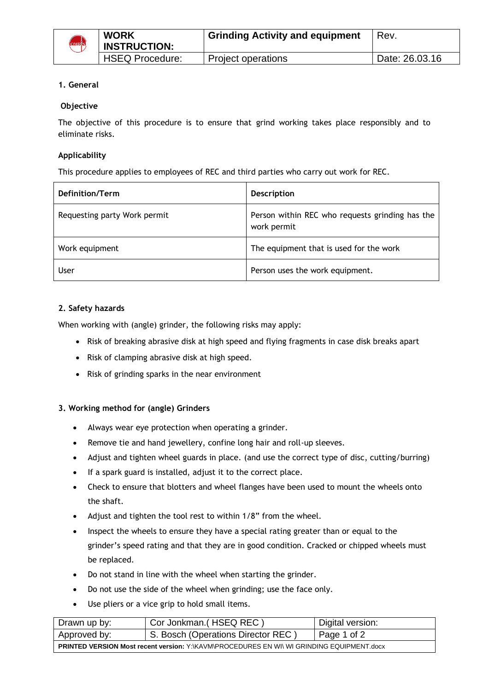

## **1. General**

## **Objective**

The objective of this procedure is to ensure that grind working takes place responsibly and to eliminate risks.

## **Applicability**

This procedure applies to employees of REC and third parties who carry out work for REC.

| Definition/Term              | <b>Description</b>                                             |
|------------------------------|----------------------------------------------------------------|
| Requesting party Work permit | Person within REC who requests grinding has the<br>work permit |
| Work equipment               | The equipment that is used for the work                        |
| User                         | Person uses the work equipment.                                |

## **2. Safety hazards**

When working with (angle) grinder, the following risks may apply:

- Risk of breaking abrasive disk at high speed and flying fragments in case disk breaks apart
- Risk of clamping abrasive disk at high speed.
- Risk of grinding sparks in the near environment

#### **3. Working method for (angle) Grinders**

- Always wear eye protection when operating a grinder.
- Remove tie and hand jewellery, confine long hair and roll-up sleeves.
- Adjust and tighten wheel guards in place. (and use the correct type of disc, cutting/burring)
- If a spark guard is installed, adjust it to the correct place.
- Check to ensure that blotters and wheel flanges have been used to mount the wheels onto the shaft.
- Adjust and tighten the tool rest to within 1/8" from the wheel.
- Inspect the wheels to ensure they have a special rating greater than or equal to the grinder's speed rating and that they are in good condition. Cracked or chipped wheels must be replaced.
- Do not stand in line with the wheel when starting the grinder.
- Do not use the side of the wheel when grinding; use the face only.
- Use pliers or a vice grip to hold small items.

| Drawn up by:                                                                                     | Cor Jonkman. (HSEQ REC)            | Digital version: |  |
|--------------------------------------------------------------------------------------------------|------------------------------------|------------------|--|
| Approved by:                                                                                     | S. Bosch (Operations Director REC) | Page 1 of 2      |  |
| <b>PRINTED VERSION Most recent version: Y: KAVM/PROCEDURES EN WIL WI GRINDING EQUIPMENT.docx</b> |                                    |                  |  |